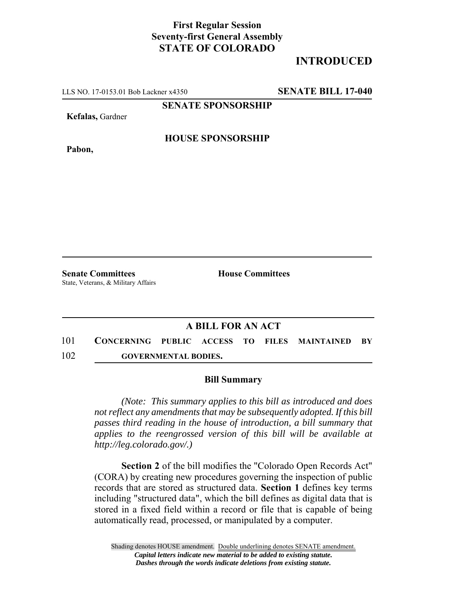## **First Regular Session Seventy-first General Assembly STATE OF COLORADO**

# **INTRODUCED**

LLS NO. 17-0153.01 Bob Lackner x4350 **SENATE BILL 17-040**

**SENATE SPONSORSHIP**

**Kefalas,** Gardner

**Pabon,**

### **HOUSE SPONSORSHIP**

**Senate Committees House Committees** State, Veterans, & Military Affairs

#### **A BILL FOR AN ACT**

101 **CONCERNING PUBLIC ACCESS TO FILES MAINTAINED BY** 102 **GOVERNMENTAL BODIES.**

#### **Bill Summary**

*(Note: This summary applies to this bill as introduced and does not reflect any amendments that may be subsequently adopted. If this bill passes third reading in the house of introduction, a bill summary that applies to the reengrossed version of this bill will be available at http://leg.colorado.gov/.)*

**Section 2** of the bill modifies the "Colorado Open Records Act" (CORA) by creating new procedures governing the inspection of public records that are stored as structured data. **Section 1** defines key terms including "structured data", which the bill defines as digital data that is stored in a fixed field within a record or file that is capable of being automatically read, processed, or manipulated by a computer.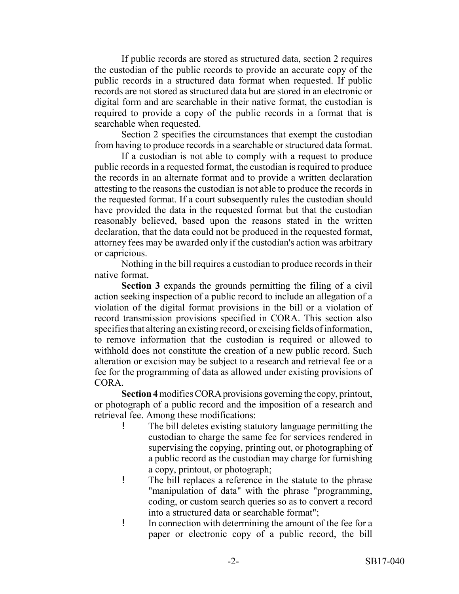If public records are stored as structured data, section 2 requires the custodian of the public records to provide an accurate copy of the public records in a structured data format when requested. If public records are not stored as structured data but are stored in an electronic or digital form and are searchable in their native format, the custodian is required to provide a copy of the public records in a format that is searchable when requested.

Section 2 specifies the circumstances that exempt the custodian from having to produce records in a searchable or structured data format.

If a custodian is not able to comply with a request to produce public records in a requested format, the custodian is required to produce the records in an alternate format and to provide a written declaration attesting to the reasons the custodian is not able to produce the records in the requested format. If a court subsequently rules the custodian should have provided the data in the requested format but that the custodian reasonably believed, based upon the reasons stated in the written declaration, that the data could not be produced in the requested format, attorney fees may be awarded only if the custodian's action was arbitrary or capricious.

Nothing in the bill requires a custodian to produce records in their native format.

**Section 3** expands the grounds permitting the filing of a civil action seeking inspection of a public record to include an allegation of a violation of the digital format provisions in the bill or a violation of record transmission provisions specified in CORA. This section also specifies that altering an existing record, or excising fields of information, to remove information that the custodian is required or allowed to withhold does not constitute the creation of a new public record. Such alteration or excision may be subject to a research and retrieval fee or a fee for the programming of data as allowed under existing provisions of CORA.

**Section 4** modifies CORA provisions governing the copy, printout, or photograph of a public record and the imposition of a research and retrieval fee. Among these modifications:

- ! The bill deletes existing statutory language permitting the custodian to charge the same fee for services rendered in supervising the copying, printing out, or photographing of a public record as the custodian may charge for furnishing a copy, printout, or photograph;
- ! The bill replaces a reference in the statute to the phrase "manipulation of data" with the phrase "programming, coding, or custom search queries so as to convert a record into a structured data or searchable format";
- ! In connection with determining the amount of the fee for a paper or electronic copy of a public record, the bill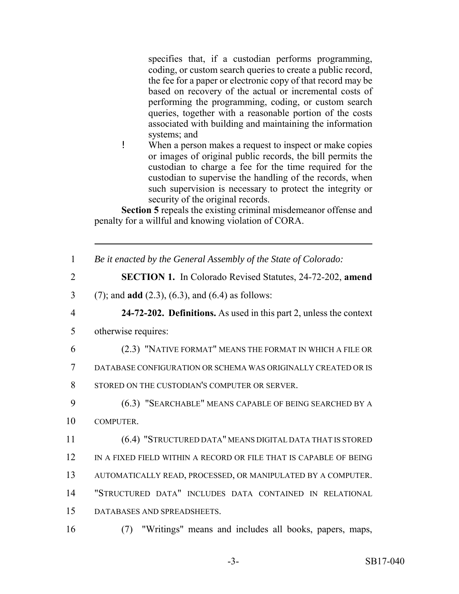specifies that, if a custodian performs programming, coding, or custom search queries to create a public record, the fee for a paper or electronic copy of that record may be based on recovery of the actual or incremental costs of performing the programming, coding, or custom search queries, together with a reasonable portion of the costs associated with building and maintaining the information systems; and

! When a person makes a request to inspect or make copies or images of original public records, the bill permits the custodian to charge a fee for the time required for the custodian to supervise the handling of the records, when such supervision is necessary to protect the integrity or security of the original records.

**Section 5** repeals the existing criminal misdemeanor offense and penalty for a willful and knowing violation of CORA.

| $\mathbf{1}$   | Be it enacted by the General Assembly of the State of Colorado:    |
|----------------|--------------------------------------------------------------------|
| $\overline{2}$ | <b>SECTION 1.</b> In Colorado Revised Statutes, 24-72-202, amend   |
| $\overline{3}$ | $(7)$ ; and <b>add</b> $(2.3)$ , $(6.3)$ , and $(6.4)$ as follows: |
| $\overline{4}$ | 24-72-202. Definitions. As used in this part 2, unless the context |
| 5              | otherwise requires:                                                |
| 6              | (2.3) "NATIVE FORMAT" MEANS THE FORMAT IN WHICH A FILE OR          |
| $\overline{7}$ | DATABASE CONFIGURATION OR SCHEMA WAS ORIGINALLY CREATED OR IS      |
| 8              | STORED ON THE CUSTODIAN'S COMPUTER OR SERVER.                      |
| 9              | (6.3) "SEARCHABLE" MEANS CAPABLE OF BEING SEARCHED BY A            |
| 10             | COMPUTER.                                                          |
| 11             | (6.4) "STRUCTURED DATA" MEANS DIGITAL DATA THAT IS STORED          |
| 12             | IN A FIXED FIELD WITHIN A RECORD OR FILE THAT IS CAPABLE OF BEING  |
| 13             | AUTOMATICALLY READ, PROCESSED, OR MANIPULATED BY A COMPUTER.       |
| 14             | "STRUCTURED DATA" INCLUDES DATA CONTAINED IN RELATIONAL            |
| 15             | DATABASES AND SPREADSHEETS.                                        |
| 16             | "Writings" means and includes all books, papers, maps,<br>(7)      |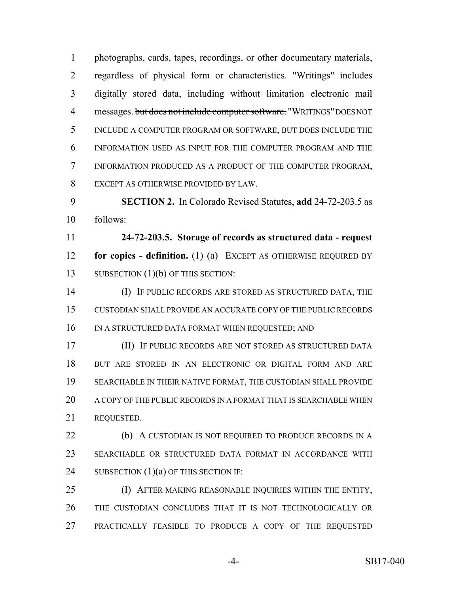photographs, cards, tapes, recordings, or other documentary materials, regardless of physical form or characteristics. "Writings" includes digitally stored data, including without limitation electronic mail 4 messages. but does not include computer software. "WRITINGS" DOES NOT INCLUDE A COMPUTER PROGRAM OR SOFTWARE, BUT DOES INCLUDE THE INFORMATION USED AS INPUT FOR THE COMPUTER PROGRAM AND THE INFORMATION PRODUCED AS A PRODUCT OF THE COMPUTER PROGRAM, EXCEPT AS OTHERWISE PROVIDED BY LAW.

 **SECTION 2.** In Colorado Revised Statutes, **add** 24-72-203.5 as follows:

 **24-72-203.5. Storage of records as structured data - request for copies - definition.** (1) (a) EXCEPT AS OTHERWISE REQUIRED BY 13 SUBSECTION (1)(b) OF THIS SECTION:

 (I) IF PUBLIC RECORDS ARE STORED AS STRUCTURED DATA, THE CUSTODIAN SHALL PROVIDE AN ACCURATE COPY OF THE PUBLIC RECORDS 16 IN A STRUCTURED DATA FORMAT WHEN REQUESTED; AND

 (II) IF PUBLIC RECORDS ARE NOT STORED AS STRUCTURED DATA BUT ARE STORED IN AN ELECTRONIC OR DIGITAL FORM AND ARE SEARCHABLE IN THEIR NATIVE FORMAT, THE CUSTODIAN SHALL PROVIDE A COPY OF THE PUBLIC RECORDS IN A FORMAT THAT IS SEARCHABLE WHEN REQUESTED.

**(b)** A CUSTODIAN IS NOT REQUIRED TO PRODUCE RECORDS IN A SEARCHABLE OR STRUCTURED DATA FORMAT IN ACCORDANCE WITH 24 SUBSECTION (1)(a) OF THIS SECTION IF:

 (I) AFTER MAKING REASONABLE INQUIRIES WITHIN THE ENTITY, THE CUSTODIAN CONCLUDES THAT IT IS NOT TECHNOLOGICALLY OR PRACTICALLY FEASIBLE TO PRODUCE A COPY OF THE REQUESTED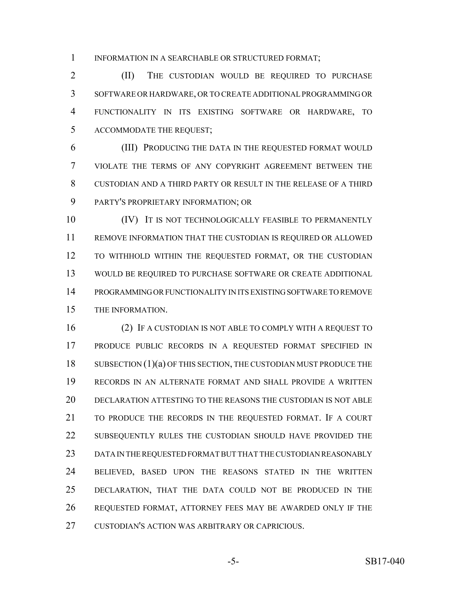INFORMATION IN A SEARCHABLE OR STRUCTURED FORMAT;

2 (II) THE CUSTODIAN WOULD BE REQUIRED TO PURCHASE SOFTWARE OR HARDWARE, OR TO CREATE ADDITIONAL PROGRAMMING OR FUNCTIONALITY IN ITS EXISTING SOFTWARE OR HARDWARE, TO ACCOMMODATE THE REQUEST;

 (III) PRODUCING THE DATA IN THE REQUESTED FORMAT WOULD VIOLATE THE TERMS OF ANY COPYRIGHT AGREEMENT BETWEEN THE CUSTODIAN AND A THIRD PARTY OR RESULT IN THE RELEASE OF A THIRD PARTY'S PROPRIETARY INFORMATION; OR

10 (IV) IT IS NOT TECHNOLOGICALLY FEASIBLE TO PERMANENTLY REMOVE INFORMATION THAT THE CUSTODIAN IS REQUIRED OR ALLOWED TO WITHHOLD WITHIN THE REQUESTED FORMAT, OR THE CUSTODIAN WOULD BE REQUIRED TO PURCHASE SOFTWARE OR CREATE ADDITIONAL PROGRAMMING OR FUNCTIONALITY IN ITS EXISTING SOFTWARE TO REMOVE THE INFORMATION.

 (2) IF A CUSTODIAN IS NOT ABLE TO COMPLY WITH A REQUEST TO PRODUCE PUBLIC RECORDS IN A REQUESTED FORMAT SPECIFIED IN 18 SUBSECTION (1)(a) OF THIS SECTION, THE CUSTODIAN MUST PRODUCE THE RECORDS IN AN ALTERNATE FORMAT AND SHALL PROVIDE A WRITTEN DECLARATION ATTESTING TO THE REASONS THE CUSTODIAN IS NOT ABLE TO PRODUCE THE RECORDS IN THE REQUESTED FORMAT. IF A COURT 22 SUBSEQUENTLY RULES THE CUSTODIAN SHOULD HAVE PROVIDED THE DATA IN THE REQUESTED FORMAT BUT THAT THE CUSTODIAN REASONABLY BELIEVED, BASED UPON THE REASONS STATED IN THE WRITTEN DECLARATION, THAT THE DATA COULD NOT BE PRODUCED IN THE REQUESTED FORMAT, ATTORNEY FEES MAY BE AWARDED ONLY IF THE CUSTODIAN'S ACTION WAS ARBITRARY OR CAPRICIOUS.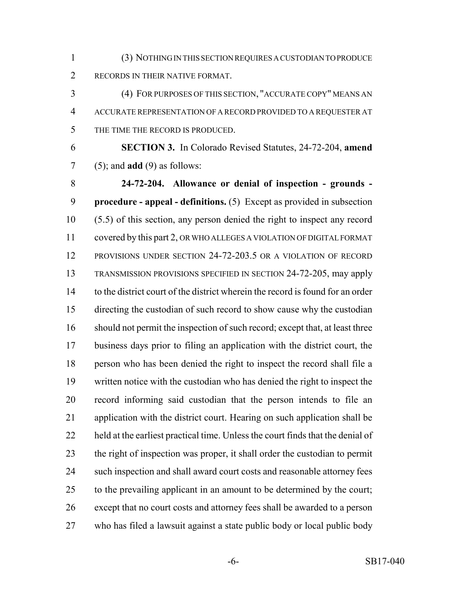(3) NOTHING IN THIS SECTION REQUIRES A CUSTODIAN TO PRODUCE RECORDS IN THEIR NATIVE FORMAT.

 (4) FOR PURPOSES OF THIS SECTION, "ACCURATE COPY" MEANS AN ACCURATE REPRESENTATION OF A RECORD PROVIDED TO A REQUESTER AT THE TIME THE RECORD IS PRODUCED.

 **SECTION 3.** In Colorado Revised Statutes, 24-72-204, **amend** (5); and **add** (9) as follows:

 **24-72-204. Allowance or denial of inspection - grounds - procedure - appeal - definitions.** (5) Except as provided in subsection (5.5) of this section, any person denied the right to inspect any record covered by this part 2, OR WHO ALLEGES A VIOLATION OF DIGITAL FORMAT PROVISIONS UNDER SECTION 24-72-203.5 OR A VIOLATION OF RECORD TRANSMISSION PROVISIONS SPECIFIED IN SECTION 24-72-205, may apply to the district court of the district wherein the record is found for an order directing the custodian of such record to show cause why the custodian should not permit the inspection of such record; except that, at least three business days prior to filing an application with the district court, the person who has been denied the right to inspect the record shall file a written notice with the custodian who has denied the right to inspect the record informing said custodian that the person intends to file an application with the district court. Hearing on such application shall be held at the earliest practical time. Unless the court finds that the denial of the right of inspection was proper, it shall order the custodian to permit 24 such inspection and shall award court costs and reasonable attorney fees to the prevailing applicant in an amount to be determined by the court; except that no court costs and attorney fees shall be awarded to a person who has filed a lawsuit against a state public body or local public body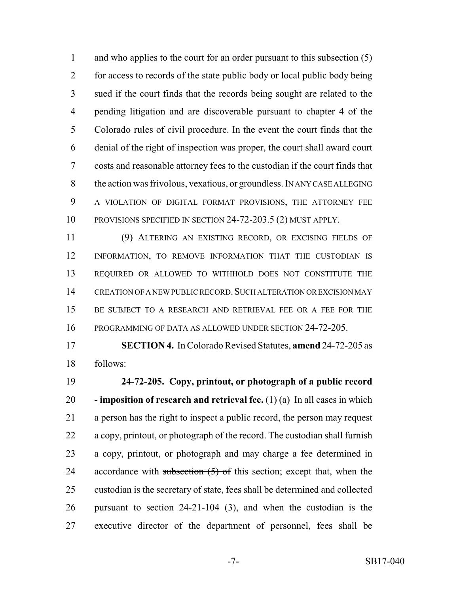1 and who applies to the court for an order pursuant to this subsection (5) for access to records of the state public body or local public body being sued if the court finds that the records being sought are related to the pending litigation and are discoverable pursuant to chapter 4 of the Colorado rules of civil procedure. In the event the court finds that the denial of the right of inspection was proper, the court shall award court costs and reasonable attorney fees to the custodian if the court finds that 8 the action was frivolous, vexatious, or groundless. IN ANY CASE ALLEGING A VIOLATION OF DIGITAL FORMAT PROVISIONS, THE ATTORNEY FEE 10 PROVISIONS SPECIFIED IN SECTION 24-72-203.5 (2) MUST APPLY.

 (9) ALTERING AN EXISTING RECORD, OR EXCISING FIELDS OF INFORMATION, TO REMOVE INFORMATION THAT THE CUSTODIAN IS REQUIRED OR ALLOWED TO WITHHOLD DOES NOT CONSTITUTE THE CREATION OF A NEW PUBLIC RECORD.SUCH ALTERATION OR EXCISION MAY 15 BE SUBJECT TO A RESEARCH AND RETRIEVAL FEE OR A FEE FOR THE PROGRAMMING OF DATA AS ALLOWED UNDER SECTION 24-72-205.

 **SECTION 4.** In Colorado Revised Statutes, **amend** 24-72-205 as follows:

 **24-72-205. Copy, printout, or photograph of a public record - imposition of research and retrieval fee.** (1) (a) In all cases in which a person has the right to inspect a public record, the person may request a copy, printout, or photograph of the record. The custodian shall furnish a copy, printout, or photograph and may charge a fee determined in 24 accordance with subsection  $(5)$  of this section; except that, when the custodian is the secretary of state, fees shall be determined and collected pursuant to section 24-21-104 (3), and when the custodian is the executive director of the department of personnel, fees shall be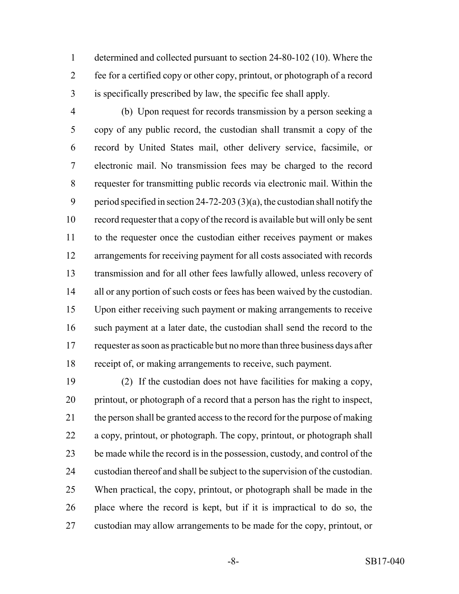determined and collected pursuant to section 24-80-102 (10). Where the fee for a certified copy or other copy, printout, or photograph of a record is specifically prescribed by law, the specific fee shall apply.

 (b) Upon request for records transmission by a person seeking a copy of any public record, the custodian shall transmit a copy of the record by United States mail, other delivery service, facsimile, or electronic mail. No transmission fees may be charged to the record requester for transmitting public records via electronic mail. Within the period specified in section 24-72-203 (3)(a), the custodian shall notify the record requester that a copy of the record is available but will only be sent to the requester once the custodian either receives payment or makes arrangements for receiving payment for all costs associated with records transmission and for all other fees lawfully allowed, unless recovery of 14 all or any portion of such costs or fees has been waived by the custodian. Upon either receiving such payment or making arrangements to receive such payment at a later date, the custodian shall send the record to the requester as soon as practicable but no more than three business days after receipt of, or making arrangements to receive, such payment.

 (2) If the custodian does not have facilities for making a copy, printout, or photograph of a record that a person has the right to inspect, the person shall be granted access to the record for the purpose of making a copy, printout, or photograph. The copy, printout, or photograph shall be made while the record is in the possession, custody, and control of the custodian thereof and shall be subject to the supervision of the custodian. When practical, the copy, printout, or photograph shall be made in the place where the record is kept, but if it is impractical to do so, the custodian may allow arrangements to be made for the copy, printout, or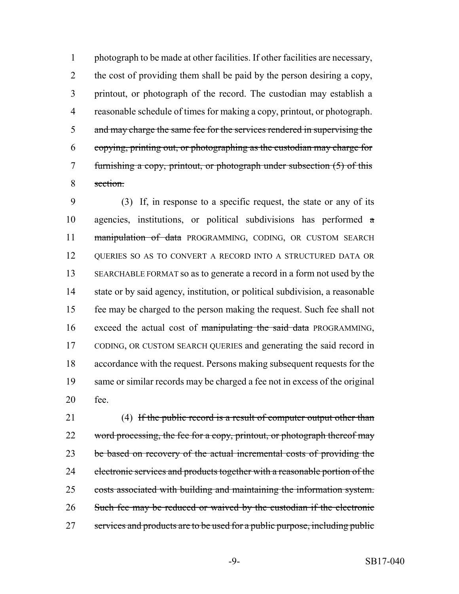photograph to be made at other facilities. If other facilities are necessary, the cost of providing them shall be paid by the person desiring a copy, printout, or photograph of the record. The custodian may establish a reasonable schedule of times for making a copy, printout, or photograph. 5 and may charge the same fee for the services rendered in supervising the copying, printing out, or photographing as the custodian may charge for 7 furnishing a copy, printout, or photograph under subsection (5) of this section.

 (3) If, in response to a specific request, the state or any of its agencies, institutions, or political subdivisions has performed a 11 manipulation of data PROGRAMMING, CODING, OR CUSTOM SEARCH QUERIES SO AS TO CONVERT A RECORD INTO A STRUCTURED DATA OR SEARCHABLE FORMAT so as to generate a record in a form not used by the state or by said agency, institution, or political subdivision, a reasonable fee may be charged to the person making the request. Such fee shall not 16 exceed the actual cost of manipulating the said data PROGRAMMING, CODING, OR CUSTOM SEARCH QUERIES and generating the said record in accordance with the request. Persons making subsequent requests for the same or similar records may be charged a fee not in excess of the original fee.

21 (4) If the public record is a result of computer output other than 22 word processing, the fee for a copy, printout, or photograph thereof may 23 be based on recovery of the actual incremental costs of providing the electronic services and products together with a reasonable portion of the costs associated with building and maintaining the information system. Such fee may be reduced or waived by the custodian if the electronic 27 services and products are to be used for a public purpose, including public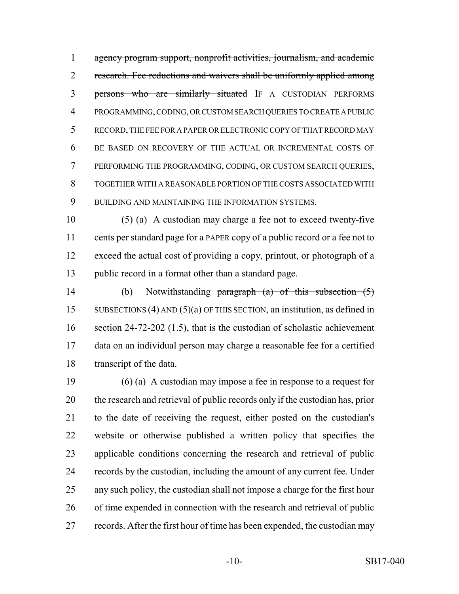agency program support, nonprofit activities, journalism, and academic 2 research. Fee reductions and waivers shall be uniformly applied among persons who are similarly situated IF A CUSTODIAN PERFORMS PROGRAMMING, CODING, OR CUSTOM SEARCH QUERIES TO CREATE A PUBLIC RECORD, THE FEE FOR A PAPER OR ELECTRONIC COPY OF THAT RECORD MAY BE BASED ON RECOVERY OF THE ACTUAL OR INCREMENTAL COSTS OF PERFORMING THE PROGRAMMING, CODING, OR CUSTOM SEARCH QUERIES, TOGETHER WITH A REASONABLE PORTION OF THE COSTS ASSOCIATED WITH BUILDING AND MAINTAINING THE INFORMATION SYSTEMS.

 (5) (a) A custodian may charge a fee not to exceed twenty-five cents per standard page for a PAPER copy of a public record or a fee not to exceed the actual cost of providing a copy, printout, or photograph of a public record in a format other than a standard page.

 (b) Notwithstanding paragraph (a) of this subsection (5) SUBSECTIONS (4) AND (5)(a) OF THIS SECTION, an institution, as defined in section 24-72-202 (1.5), that is the custodian of scholastic achievement data on an individual person may charge a reasonable fee for a certified transcript of the data.

 (6) (a) A custodian may impose a fee in response to a request for the research and retrieval of public records only if the custodian has, prior to the date of receiving the request, either posted on the custodian's website or otherwise published a written policy that specifies the applicable conditions concerning the research and retrieval of public records by the custodian, including the amount of any current fee. Under any such policy, the custodian shall not impose a charge for the first hour of time expended in connection with the research and retrieval of public records. After the first hour of time has been expended, the custodian may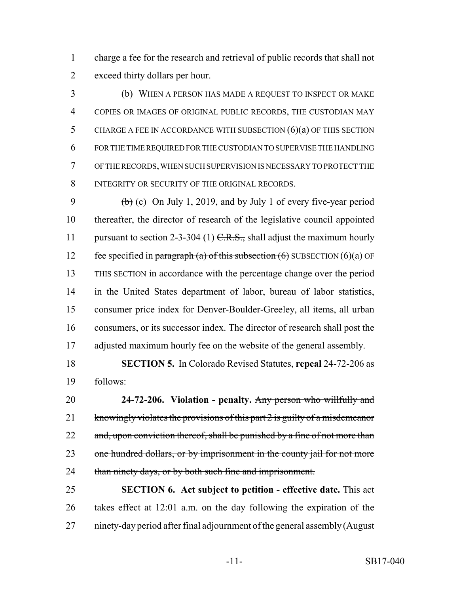charge a fee for the research and retrieval of public records that shall not exceed thirty dollars per hour.

 (b) WHEN A PERSON HAS MADE A REQUEST TO INSPECT OR MAKE COPIES OR IMAGES OF ORIGINAL PUBLIC RECORDS, THE CUSTODIAN MAY CHARGE A FEE IN ACCORDANCE WITH SUBSECTION (6)(a) OF THIS SECTION FOR THE TIME REQUIRED FOR THE CUSTODIAN TO SUPERVISE THE HANDLING OF THE RECORDS, WHEN SUCH SUPERVISION IS NECESSARY TO PROTECT THE 8 INTEGRITY OR SECURITY OF THE ORIGINAL RECORDS.

9 (b) (c) On July 1, 2019, and by July 1 of every five-year period thereafter, the director of research of the legislative council appointed 11 pursuant to section 2-3-304 (1)  $C.R.S.,$  shall adjust the maximum hourly 12 fee specified in paragraph (a) of this subsection  $(6)$  SUBSECTION  $(6)(a)$  OF THIS SECTION in accordance with the percentage change over the period in the United States department of labor, bureau of labor statistics, consumer price index for Denver-Boulder-Greeley, all items, all urban consumers, or its successor index. The director of research shall post the adjusted maximum hourly fee on the website of the general assembly.

 **SECTION 5.** In Colorado Revised Statutes, **repeal** 24-72-206 as follows:

 **24-72-206. Violation - penalty.** Any person who willfully and 21 knowingly violates the provisions of this part 2 is guilty of a misdemeanor 22 and, upon conviction thereof, shall be punished by a fine of not more than 23 one hundred dollars, or by imprisonment in the county jail for not more 24 than ninety days, or by both such fine and imprisonment.

 **SECTION 6. Act subject to petition - effective date.** This act takes effect at 12:01 a.m. on the day following the expiration of the ninety-day period after final adjournment of the general assembly (August